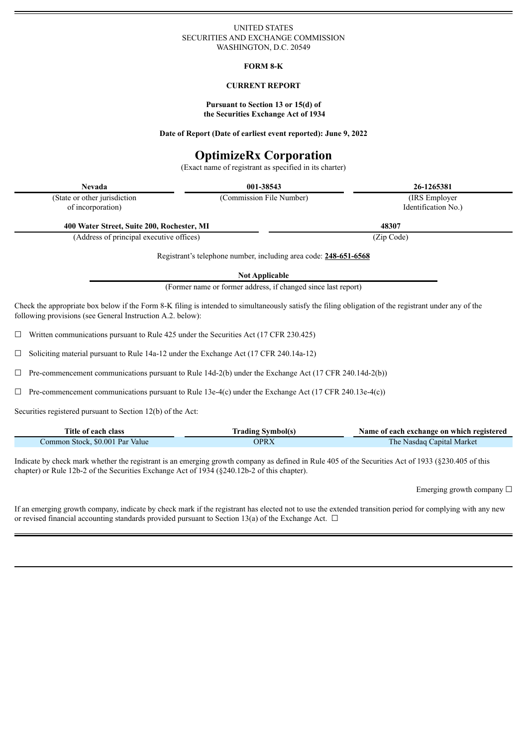## UNITED STATES SECURITIES AND EXCHANGE COMMISSION WASHINGTON, D.C. 20549

## **FORM 8-K**

## **CURRENT REPORT**

#### **Pursuant to Section 13 or 15(d) of the Securities Exchange Act of 1934**

#### **Date of Report (Date of earliest event reported): June 9, 2022**

# **OptimizeRx Corporation**

(Exact name of registrant as specified in its charter)

**Nevada 001-38543 26-1265381**

| (State or other jurisdiction)<br>of incorporation) | (Commission File Number) | (IRS Employer)<br>Identification No.) |
|----------------------------------------------------|--------------------------|---------------------------------------|
| 400 Water Street, Suite 200, Rochester, MI         |                          | 48307                                 |
| (Address of principal executive offices)           |                          | (Zip Code)                            |

Registrant's telephone number, including area code: **248-651-6568**

**Not Applicable**

(Former name or former address, if changed since last report)

Check the appropriate box below if the Form 8-K filing is intended to simultaneously satisfy the filing obligation of the registrant under any of the following provisions (see General Instruction A.2. below):

 $\Box$  Written communications pursuant to Rule 425 under the Securities Act (17 CFR 230.425)

 $\Box$  Soliciting material pursuant to Rule 14a-12 under the Exchange Act (17 CFR 240.14a-12)

 $\Box$  Pre-commencement communications pursuant to Rule 14d-2(b) under the Exchange Act (17 CFR 240.14d-2(b))

☐ Pre-commencement communications pursuant to Rule 13e-4(c) under the Exchange Act (17 CFR 240.13e-4(c))

Securities registered pursuant to Section 12(b) of the Act:

| Title of each class             | <b>Trading Symbol(s)</b> | Name of each exchange on which registered |
|---------------------------------|--------------------------|-------------------------------------------|
| Common Stock, \$0.001 Par Value | OPRX                     | The Nasdaq Capital Market                 |

Indicate by check mark whether the registrant is an emerging growth company as defined in Rule 405 of the Securities Act of 1933 (§230.405 of this chapter) or Rule 12b-2 of the Securities Exchange Act of 1934 (§240.12b-2 of this chapter).

Emerging growth company  $\Box$ 

If an emerging growth company, indicate by check mark if the registrant has elected not to use the extended transition period for complying with any new or revised financial accounting standards provided pursuant to Section 13(a) of the Exchange Act.  $\Box$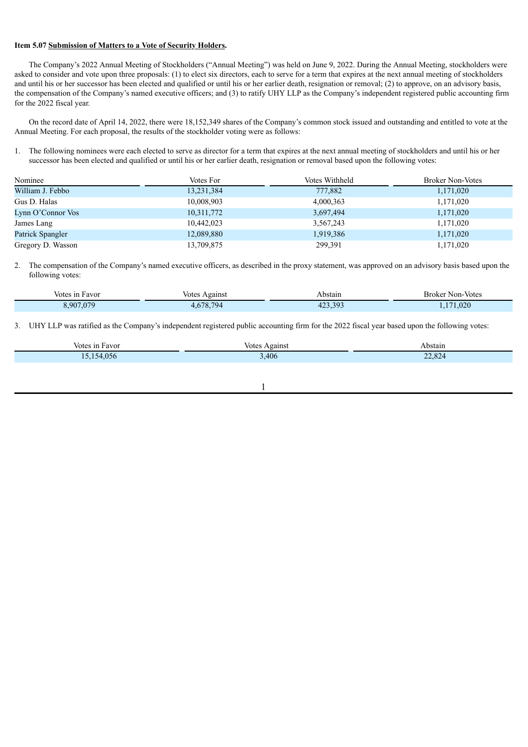## **Item 5.07 Submission of Matters to a Vote of Security Holders.**

The Company's 2022 Annual Meeting of Stockholders ("Annual Meeting") was held on June 9, 2022. During the Annual Meeting, stockholders were asked to consider and vote upon three proposals: (1) to elect six directors, each to serve for a term that expires at the next annual meeting of stockholders and until his or her successor has been elected and qualified or until his or her earlier death, resignation or removal; (2) to approve, on an advisory basis, the compensation of the Company's named executive officers; and (3) to ratify UHY LLP as the Company's independent registered public accounting firm for the 2022 fiscal year.

On the record date of April 14, 2022, there were 18,152,349 shares of the Company's common stock issued and outstanding and entitled to vote at the Annual Meeting. For each proposal, the results of the stockholder voting were as follows:

1. The following nominees were each elected to serve as director for a term that expires at the next annual meeting of stockholders and until his or her successor has been elected and qualified or until his or her earlier death, resignation or removal based upon the following votes:

| Nominee           | Votes For  | Votes Withheld | <b>Broker Non-Votes</b> |
|-------------------|------------|----------------|-------------------------|
| William J. Febbo  | 13,231,384 | 777,882        | 1,171,020               |
| Gus D. Halas      | 10,008,903 | 4,000,363      | 1,171,020               |
| Lynn O'Connor Vos | 10,311,772 | 3,697,494      | 1,171,020               |
| James Lang        | 10,442,023 | 3,567,243      | 1,171,020               |
| Patrick Spangler  | 12,089,880 | 1,919,386      | 1,171,020               |
| Gregory D. Wasson | 13,709,875 | 299,391        | 1,171,020               |

2. The compensation of the Company's named executive officers, as described in the proxy statement, was approved on an advisory basis based upon the following votes:

| Votes in Favor | Against<br><b>Votes</b> | Abstain               | Broker Non-Votes |
|----------------|-------------------------|-----------------------|------------------|
| 3.907.079      | 4.678.794               | 402<br>202<br>423.39. | 171,020          |

3. UHY LLP was ratified as the Company's independent registered public accounting firm for the 2022 fiscal year based upon the following votes:

| Votes in<br>ı Favor | votes<br>Against | Abstain<br>. |
|---------------------|------------------|--------------|
| ,056<br>$\Delta$    | 3,406            | 22,824       |
|                     |                  |              |